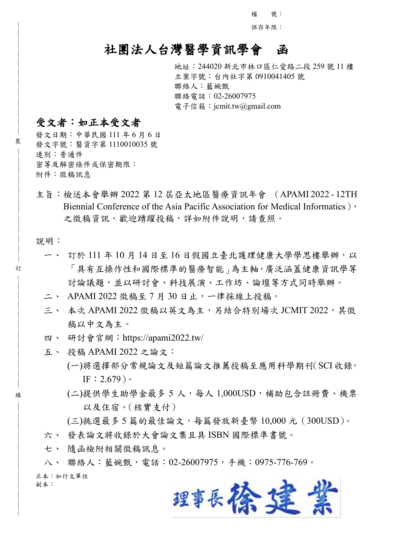檔 號:

保存年限:

## 社團法人台灣醫學資訊學會函

地址:244020 新北市林口區仁愛路二段 259 號 11 樓 立案字號:台內社字第 0910041405 號 聯絡人:藍婉甄 聯絡電話:02-26007975 電子信箱: jcmit.tw@gmail.com

#### 受文者:如正本受文者

發文日期:中華民國 111 年 6 月 6 日 發文字號:醫資字第 1110010035 號 速別:普通件 密等及解密條件或保密期限: 附件:徵稿訊息

主旨:檢送本會舉辦 2022 第 12 屆亞太地區醫療資訊年會 (APAMI 2022 - 12TH Biennial Conference of the Asia Pacific Association for Medical Informatics), 之徵稿資訊,歡迎踴躍投稿,詳如附件說明,請查照。

說明:

裝

訂

線

- 一、 訂於 111 年 10 月 14 日至 16 日假國立臺北護理健康大學學思樓舉辦,以 「具有互操作性和國際標準的醫療智能」為主軸,廣泛涵蓋健康資訊學等 討論議題,並以研討會、科技展演、工作坊、論壇等方式同時舉辦。
- 二、 APAMI 2022 徵稿至 7 月 30 日止,一律採線上投稿。
- 三、 本次 APAMI 2022 徵稿以英文為主,另結合特別場次 JCMIT 2022,其徵 稿以中文為主。
- 四、 研討會官網:https://apami2022.tw/
- 五、 投稿 APAMI 2022 之論文:
	- (一)將選擇部分常規論文及短篇論文推薦投稿至應用科學期刊(SCI 收錄, IF:  $2.679$ )。
	- (二)提供學生助學金最多 5 人,每人 1,000USD,補助包含註冊費、機票 以及住宿。(核實支付)

(三)挑選最多 5 篇的最佳論文,每篇發放新臺幣 10,000 元(300USD)。 六、 發表論文將收錄於大會論文集且具 ISBN 國際標準書號。

七、 隨函檢附相關徵稿訊息。

八、 聯絡人:藍婉甄,電話:02-26007975,手機:0975-776-769。 正本:如行文單位 副本:

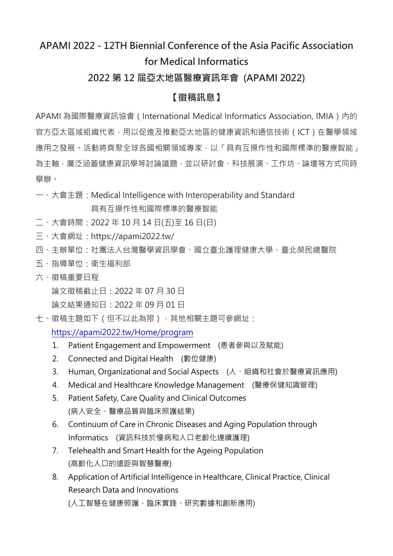# **APAMI 2022 - 12TH Biennial Conference of the Asia Pacific Association for Medical Informatics**

### **2022 第 12 屆亞太地區醫療資訊年會 (APAMI 2022)**

#### **【徵稿訊息】**

APAMI 為國際醫療資訊協會 (International Medical Informatics Association, IMIA) 內的 官方亞太區域組織代表,用以促進及推動亞太地區的健康資訊和通信技術(ICT)在醫學領域 應用之發展。活動將齊聚全球各國相關領域專家,以「具有互操作性和國際標準的醫療智能」 為主軸,廣泛涵蓋健康資訊學等討論議題,並以研討會、科技展演、工作坊、論壇等方式同時 舉辦。

一、大會主題:Medical Intelligence with Interoperability and Standard

具有互操作性和國際標準的醫療智能

- 二、大會時間:2022 年 10 月 14 日(五)至 16 日(日)
- 三、大會網址:https://apami2022.tw/
- 四、主辦單位:社團法人台灣醫學資訊學會、國立臺北護理健康大學、臺北榮民總醫院
- 五、指導單位:衛生福利部
- 六、徵稿重要日程

論文徵稿截止日:2022 年 07 月 30 日

論文結果通知日:2022 年 09 月 01 日

七、徵稿主題如下(但不以此為限),其他相關主題可參網址:

<https://apami2022.tw/Home/program>

- 1. Patient Engagement and Empowerment (患者參與以及賦能)
- 2. Connected and Digital Health (數位健康)
- 3. Human, Organizational and Social Aspects (人、組織和社會於醫療資訊應用)
- 4. Medical and Healthcare Knowledge Management (醫療保健知識管理)
- 5. Patient Safety, Care Quality and Clinical Outcomes (病人安全、醫療品質與臨床照護結果)
- 6. Continuum of Care in Chronic Diseases and Aging Population through Informatics (資訊科技於慢病和人口老齡化連續護理)
- 7. Telehealth and Smart Health for the Ageing Population (高齡化人口的遠距與智慧醫療)
- 8. Application of Artificial Intelligence in Healthcare, Clinical Practice, Clinical Research Data and Innovations (人工智慧在健康照護、臨床實踐、研究數據和創新應用)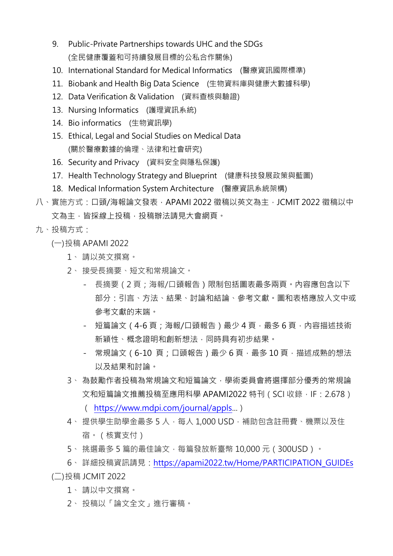- 9. Public-Private Partnerships towards UHC and the SDGs (全民健康覆蓋和可持續發展目標的公私合作關係)
- 10. International Standard for Medical Informatics (醫療資訊國際標準)
- 11. Biobank and Health Big Data Science (生物資料庫與健康大數據科學)
- 12. Data Verification & Validation (資料查核與驗證)
- 13. Nursing Informatics (護理資訊系統)
- 14. Bio informatics (生物資訊學)
- 15. Ethical, Legal and Social Studies on Medical Data (關於醫療數據的倫理、法律和社會研究)
- 16. Security and Privacy (資料安全與隱私保護)
- 17. Health Technology Strategy and Blueprint (健康科技發展政策與藍圖)
- 18. Medical Information System Architecture (醫療資訊系統架構)
- 八、實施方式:口頭/海報論文發表, APAMI 2022 徵稿以英文為主, JCMIT 2022 徵稿以中 文為主,皆採線上投稿,投稿辦法請見大會網頁。
- 九、投稿方式:
	- (一)投稿 APAMI 2022
		- 1、 請以英文撰寫。
		- 2、 接受長摘要、短文和常規論文。
			- 長摘要(2 頁;海報/口頭報告)限制包括圖表最多兩頁。內容應包含以下 部分:引言、方法、結果、討論和結論、參考文獻。圖和表格應放入文中或 參考文獻的末端。
			- 短篇論文 (4-6 頁 ; 海報/口頭報告 ) 最少 4 頁 · 最多 6 頁 · 內容描述技術 新穎性、概念證明和創新想法,同時具有初步結果。
			- 常規論文 (6-10 頁;口頭報告)最少 6 頁, 最多 10 頁, 描述成熟的想法 以及結果和討論。
		- 3、 為鼓勵作者投稿為常規論文和短篇論文,學術委員會將選擇部分優秀的常規論 文和短篇論文推薦投稿至應用科學 APAMI2022 特刊 ( SCI 收錄, IF : 2.678 )
			- ( [https://www.mdpi.com/journal/appls.](https://www.mdpi.com/journal/appls)..)
		- 4、 提供學生助學金最多 5 人,每人 1,000 USD,補助包含註冊費、機票以及住 宿。(核實支付)
		- 5、挑選最多 5 篇的最佳論文,每篇發放新臺幣 10,000 元(300USD)。
	- 6、 詳細投稿資訊請見:[https://apami2022.tw/Home/PARTICIPATION\\_GUIDEs](https://apami2022.tw/Home/PARTICIPATION_GUIDEs) (二)投稿 JCMIT 2022
		- 1、 請以中文撰寫。
		- 2、 投稿以「論文全文」進行審稿。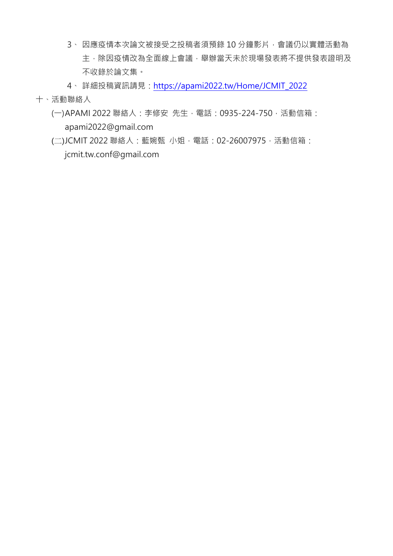3、因應疫情本次論文被接受之投稿者須預錄 10 分鐘影片,會議仍以實體活動為 主,除因疫情改為全面線上會議,舉辦當天未於現場發表將不提供發表證明及 不收錄於論文集。

4、 詳細投稿資訊請見:[https://apami2022.tw/Home/JCMIT\\_2022](https://apami2022.tw/Home/JCMIT_2022) 十、活動聯絡人

- (一)APAMI 2022 聯絡人: 李修安 先生, 電話: 0935-224-750, 活動信箱: [apami2022@gmail.com](mailto:apami2022@gmail.com)
- (二)JCMIT 2022 聯絡人:藍婉甄 小姐,電話:02-26007975,活動信箱: jcmit.tw.conf@gmail.com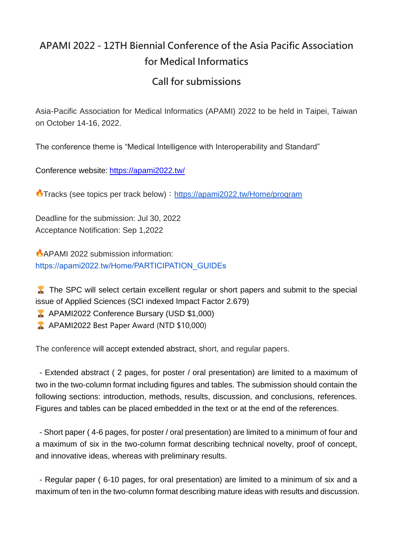## **APAMI 2022 - 12TH Biennial Conference of the Asia Pacific Association for Medical Informatics**

#### **Call for submissions**

Asia-Pacific Association for Medical Informatics (APAMI) 2022 to be held in Taipei, Taiwan on October 14-16, 2022.

The conference theme is "Medical Intelligence with Interoperability and Standard"

Conference website: <https://apami2022.tw/>

Tracks (see topics per track below):<https://apami2022.tw/Home/program>

Deadline for the submission: Jul 30, 2022 Acceptance Notification: Sep 1,2022

**APAMI 2022 submission information:** [https://apami2022.tw/Home/PARTICIPATION\\_GUIDEs](https://apami2022.tw/Home/PARTICIPATION_GUIDEs)

The SPC will select certain excellent regular or short papers and submit to the special issue of Applied Sciences (SCI indexed Impact Factor 2.679)

- **APAMI2022 Conference Bursary (USD \$1,000)**
- **APAMI2022 Best Paper Award (NTD \$10,000)**

The conference will accept extended abstract, short, and regular papers.

- Extended abstract ( 2 pages, for poster / oral presentation) are limited to a maximum of two in the two-column format including figures and tables. The submission should contain the following sections: introduction, methods, results, discussion, and conclusions, references. Figures and tables can be placed embedded in the text or at the end of the references.

- Short paper ( 4-6 pages, for poster / oral presentation) are limited to a minimum of four and a maximum of six in the two-column format describing technical novelty, proof of concept, and innovative ideas, whereas with preliminary results.

- Regular paper ( 6-10 pages, for oral presentation) are limited to a minimum of six and a maximum of ten in the two-column format describing mature ideas with results and discussion.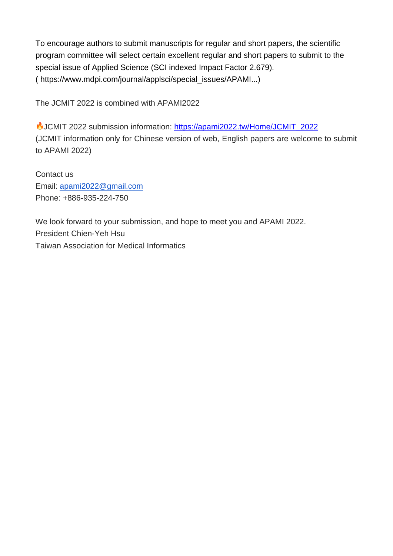To encourage authors to submit manuscripts for regular and short papers, the scientific program committee will select certain excellent regular and short papers to submit to the special issue of Applied Science (SCI indexed Impact Factor 2.679). ( https://www.mdpi.com/journal/applsci/special\_issues/APAMI...)

The JCMIT 2022 is combined with APAMI2022

JCMIT 2022 submission information: [https://apami2022.tw/Home/JCMIT\\_2022](https://apami2022.tw/Home/JCMIT_2022) (JCMIT information only for Chinese version of web, English papers are welcome to submit to APAMI 2022)

Contact us Email: [apami2022@gmail.com](mailto:apami2022@gmail.com) Phone: +886-935-224-750

We look forward to your submission, and hope to meet you and APAMI 2022. President Chien-Yeh Hsu Taiwan Association for Medical Informatics